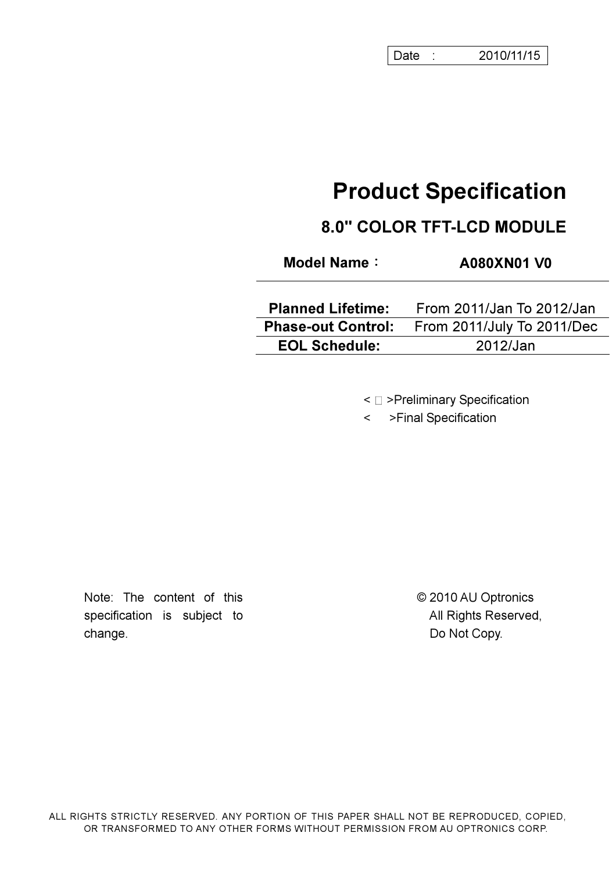# Product Specification

# 8.0" COLOR TFT-LCD MODULE

Model Name: A080XN01 V0

Planned Lifetime: From 2011/Jan To 2012/Jan Phase-out Control: From 2011/July To 2011/Dec EOL Schedule: 2012/Jan

<  $\square$  > Preliminary Specification

< >Final Specification

Note: The content of this specification is subject to change.

© 2010 AU Optronics All Rights Reserved, Do Not Copy.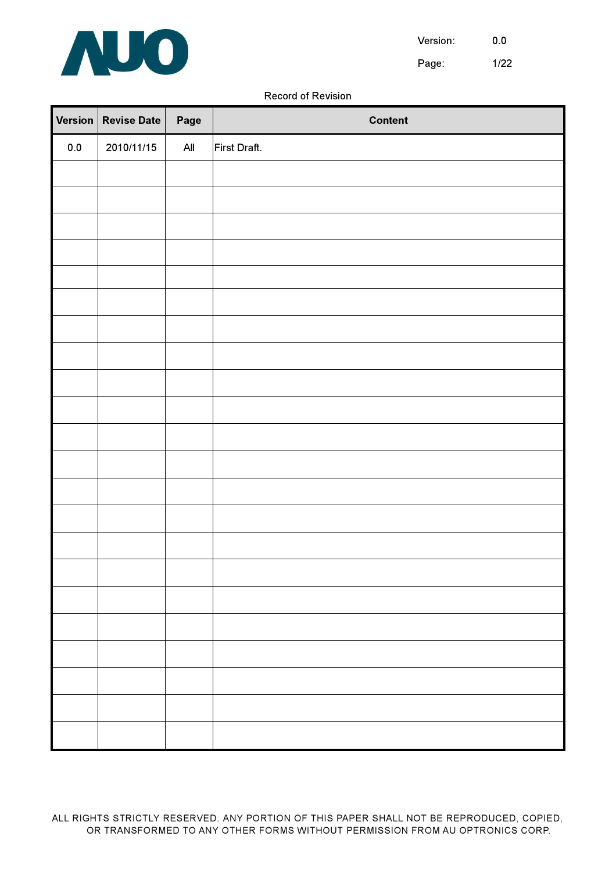

Version: 0.0

Page: 1/22

#### Record of Revision

|         | Version   Revise Date | Page         | <b>Content</b> |
|---------|-----------------------|--------------|----------------|
| $0.0\,$ | 2010/11/15            | $A\parallel$ | First Draft.   |
|         |                       |              |                |
|         |                       |              |                |
|         |                       |              |                |
|         |                       |              |                |
|         |                       |              |                |
|         |                       |              |                |
|         |                       |              |                |
|         |                       |              |                |
|         |                       |              |                |
|         |                       |              |                |
|         |                       |              |                |
|         |                       |              |                |
|         |                       |              |                |
|         |                       |              |                |
|         |                       |              |                |
|         |                       |              |                |
|         |                       |              |                |
|         |                       |              |                |
|         |                       |              |                |
|         |                       |              |                |
|         |                       |              |                |
|         |                       |              |                |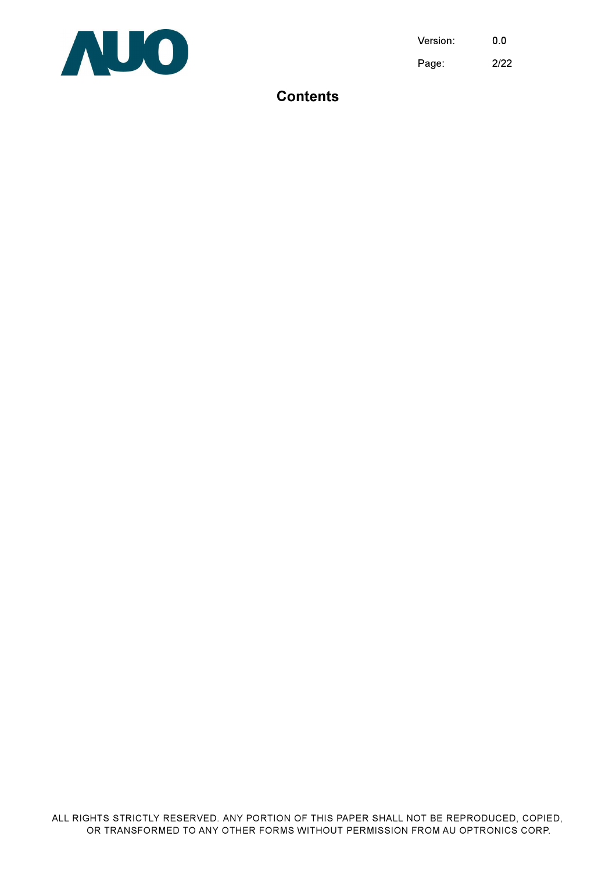Version: 0.0

Page: 2/22



**Contents**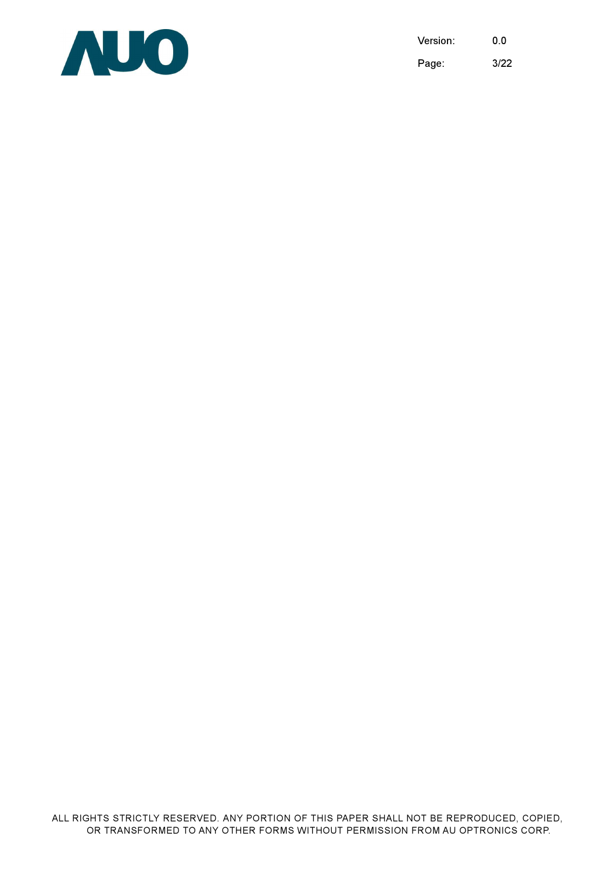

Version: 0.0 Page: 3/22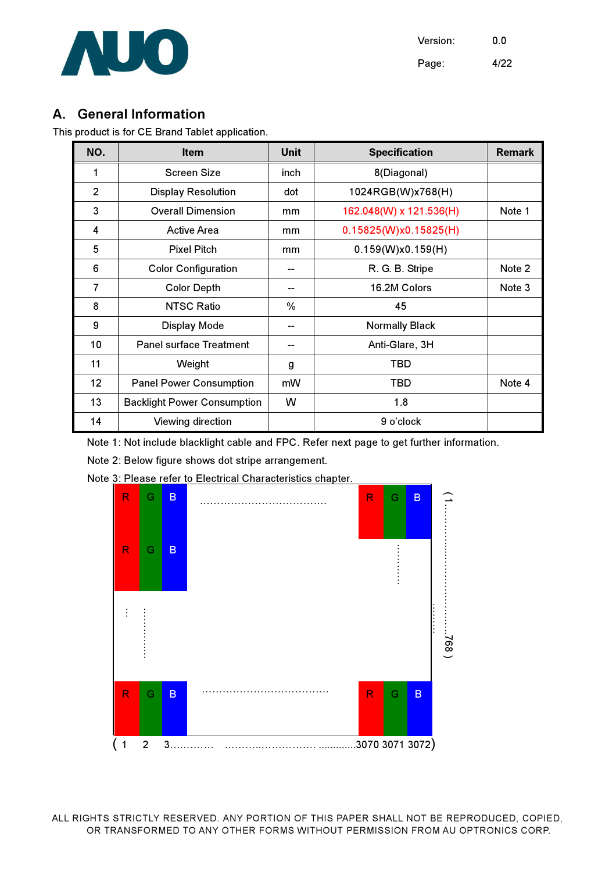

# A. General Information

This product is for CE Brand Tablet application.

| NO.               | <b>Item</b>                        | <b>Unit</b><br><b>Specification</b> |                         | <b>Remark</b> |
|-------------------|------------------------------------|-------------------------------------|-------------------------|---------------|
| 1                 | Screen Size                        | inch                                | 8(Diagonal)             |               |
| 2                 | <b>Display Resolution</b>          | dot                                 | 1024RGB(W)x768(H)       |               |
| 3                 | <b>Overall Dimension</b>           | mm                                  | 162.048(W) x 121.536(H) | Note 1        |
| 4                 | Active Area                        | mm                                  | 0.15825(W)x0.15825(H)   |               |
| 5                 | <b>Pixel Pitch</b>                 | mm                                  | 0.159(W)x0.159(H)       |               |
| 6                 | <b>Color Configuration</b>         | --                                  | R. G. B. Stripe         | Note 2        |
| $\overline{7}$    | <b>Color Depth</b>                 |                                     | 16.2M Colors            | Note 3        |
| 8                 | <b>NTSC Ratio</b>                  | $\%$                                | 45                      |               |
| 9                 | Display Mode                       |                                     | <b>Normally Black</b>   |               |
| 10                | <b>Panel surface Treatment</b>     |                                     | Anti-Glare, 3H          |               |
| 11                | Weight                             | g                                   | <b>TBD</b>              |               |
| $12 \overline{ }$ | <b>Panel Power Consumption</b>     | mW                                  | TBD                     | Note 4        |
| 13                | <b>Backlight Power Consumption</b> | w                                   | 1.8                     |               |
| 14                | Viewing direction                  |                                     | 9 o'clock               |               |

Note 1: Not include blacklight cable and FPC. Refer next page to get further information.

Note 2: Below figure shows dot stripe arrangement.



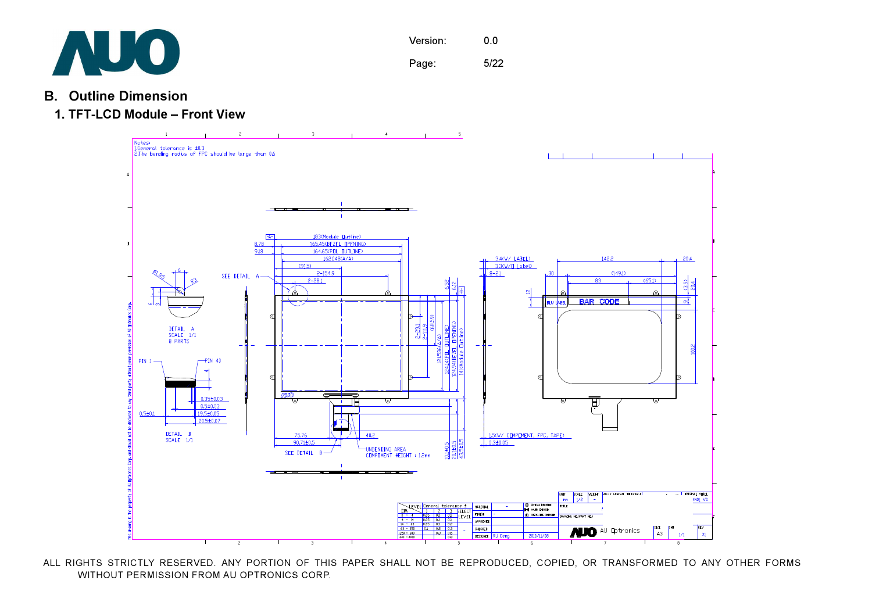

Version: 0.0 Page: 5/22

- B. Outline Dimension
	- 1. TFT-LCD Module Front View

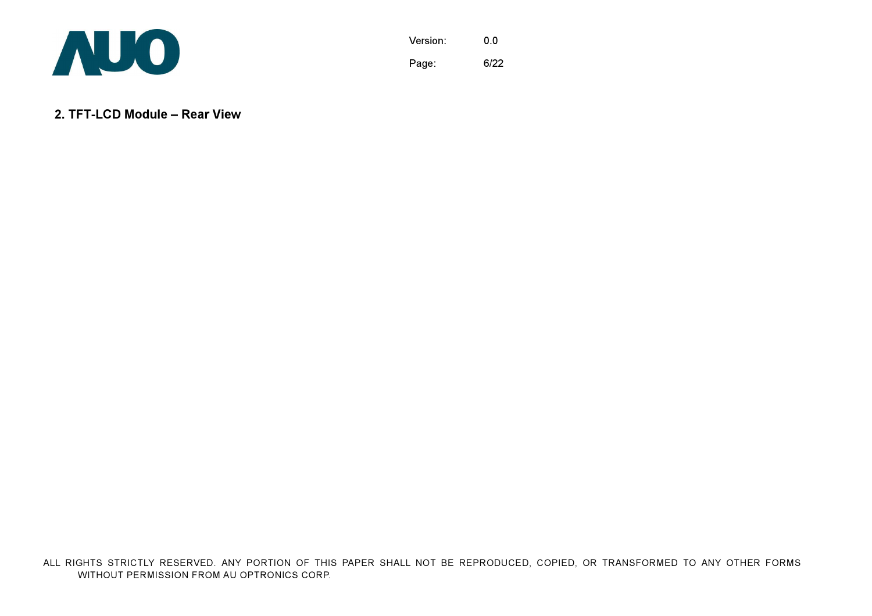

Version: 0.0 Page: 6/22

#### 2. TFT-LCD Module – Rear View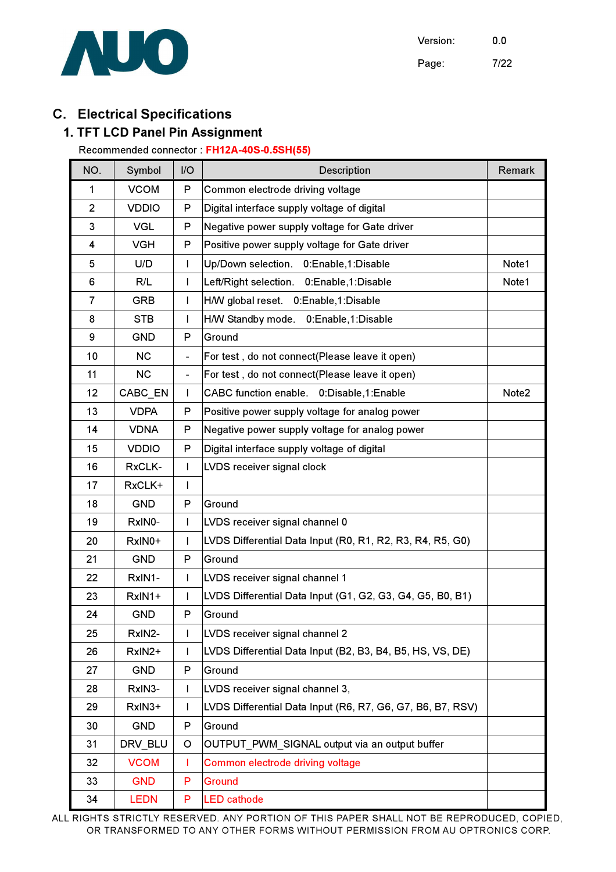

# C. Electrical Specifications

# 1. TFT LCD Panel Pin Assignment

#### Recommended connector : FH12A-40S-0.5SH(55)

| NO.            | Symbol       | I/O            | Description                                                | Remark |
|----------------|--------------|----------------|------------------------------------------------------------|--------|
| 1              | <b>VCOM</b>  | P              | Common electrode driving voltage                           |        |
| $\overline{2}$ | <b>VDDIO</b> | P              | Digital interface supply voltage of digital                |        |
| 3              | <b>VGL</b>   | P              | Negative power supply voltage for Gate driver              |        |
| 4              | <b>VGH</b>   | P              | Positive power supply voltage for Gate driver              |        |
| 5              | U/D          | I              | Up/Down selection. 0:Enable,1:Disable                      | Note1  |
| 6              | R/L          | T              | Left/Right selection.<br>0:Enable,1:Disable                | Note1  |
| 7              | <b>GRB</b>   | I              | H/W global reset. 0:Enable,1:Disable                       |        |
| 8              | <b>STB</b>   | T              | H/W Standby mode.<br>0:Enable,1:Disable                    |        |
| 9              | <b>GND</b>   | P              | Ground                                                     |        |
| 10             | <b>NC</b>    | $\overline{a}$ | For test, do not connect(Please leave it open)             |        |
| 11             | <b>NC</b>    | $\overline{a}$ | For test, do not connect(Please leave it open)             |        |
| 12             | CABC EN      | T              | CABC function enable. 0:Disable,1:Enable                   | Note2  |
| 13             | <b>VDPA</b>  | P              | Positive power supply voltage for analog power             |        |
| 14             | <b>VDNA</b>  | P              | Negative power supply voltage for analog power             |        |
| 15             | <b>VDDIO</b> | $\mathsf{P}$   | Digital interface supply voltage of digital                |        |
| 16             | RxCLK-       | T              | LVDS receiver signal clock                                 |        |
| 17             | RxCLK+       | T              |                                                            |        |
| 18             | <b>GND</b>   | $\mathsf{P}$   | Ground                                                     |        |
| 19             | RxIN0-       | T              | LVDS receiver signal channel 0                             |        |
| 20             | RxIN0+       | I              | LVDS Differential Data Input (R0, R1, R2, R3, R4, R5, G0)  |        |
| 21             | <b>GND</b>   | P              | Ground                                                     |        |
| 22             | RxIN1-       | L              | LVDS receiver signal channel 1                             |        |
| 23             | RxIN1+       | T              | LVDS Differential Data Input (G1, G2, G3, G4, G5, B0, B1)  |        |
| 24             | <b>GND</b>   | P              | Ground                                                     |        |
| 25             | RxIN2-       | T              | LVDS receiver signal channel 2                             |        |
| 26             | RxIN2+       | L              | LVDS Differential Data Input (B2, B3, B4, B5, HS, VS, DE)  |        |
| 27             | <b>GND</b>   | P              | Ground                                                     |        |
| 28             | RxIN3-       | I              | LVDS receiver signal channel 3,                            |        |
| 29             | RxIN3+       | I              | LVDS Differential Data Input (R6, R7, G6, G7, B6, B7, RSV) |        |
| 30             | <b>GND</b>   | P              | Ground                                                     |        |
| 31             | DRV BLU      | O              | OUTPUT PWM SIGNAL output via an output buffer              |        |
| 32             | <b>VCOM</b>  | L              | Common electrode driving voltage                           |        |
| 33             | <b>GND</b>   | P              | <b>Ground</b>                                              |        |
| 34             | <b>LEDN</b>  | P              | <b>LED cathode</b>                                         |        |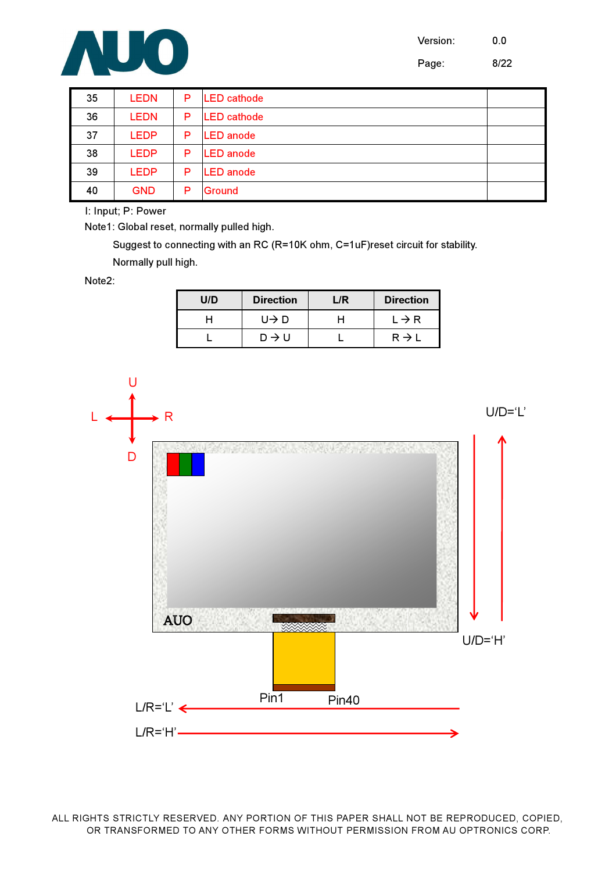

Page: 8/22

| 35 | <b>LEDN</b> | P | <b>LED</b> cathode |  |
|----|-------------|---|--------------------|--|
| 36 | <b>LEDN</b> | P | <b>LED</b> cathode |  |
| 37 | <b>LEDP</b> | P | <b>LED</b> anode   |  |
| 38 | <b>LEDP</b> | P | <b>LED</b> anode   |  |
| 39 | <b>LEDP</b> | P | <b>LED</b> anode   |  |
| 40 | <b>GND</b>  | P | Ground             |  |

I: Input; P: Power

Note1: Global reset, normally pulled high.

Suggest to connecting with an RC (R=10K ohm, C=1uF)reset circuit for stability.

Normally pull high.

Note2:

| U/D | <b>Direction</b> | L/R | <b>Direction</b>  |
|-----|------------------|-----|-------------------|
|     | U→ D             |     | $L \rightarrow R$ |
|     | $D \to U$        |     | $R \rightarrow L$ |

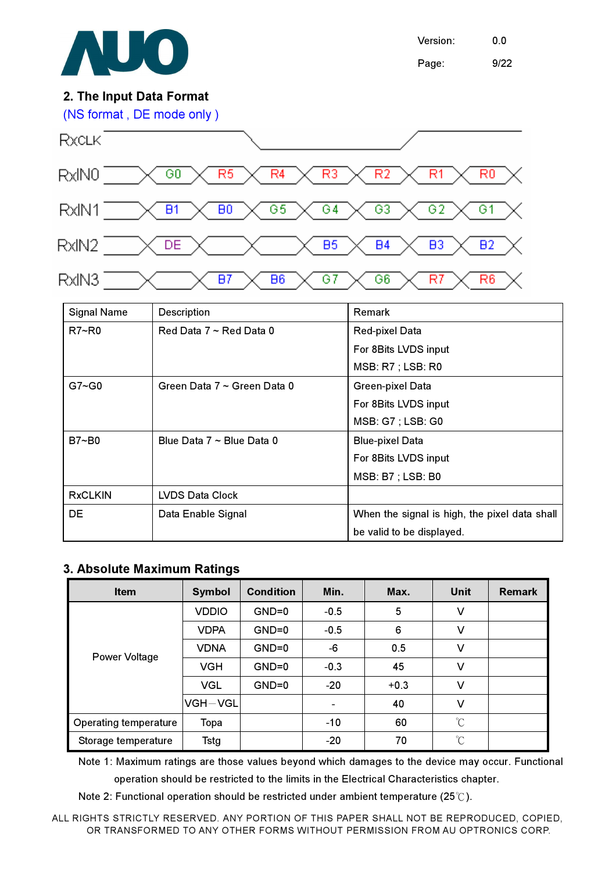

2. The Input Data Format





| <b>Signal Name</b> | <b>Description</b>             | Remark                                        |
|--------------------|--------------------------------|-----------------------------------------------|
| R7~R0              | Red Data $7 \sim$ Red Data 0   | <b>Red-pixel Data</b>                         |
|                    |                                | For 8Bits LVDS input                          |
|                    |                                | <b>MSB: R7 ; LSB: R0</b>                      |
| $G7 \sim G0$       | Green Data 7 ~ Green Data 0    | Green-pixel Data                              |
|                    |                                | For 8Bits LVDS input                          |
|                    |                                | $MSB: G7$ ; $LSB: GO$                         |
| $B7~$ B0           | Blue Data $7 \sim$ Blue Data 0 | <b>Blue-pixel Data</b>                        |
|                    |                                | For 8Bits LVDS input                          |
|                    |                                | <b>MSB: B7 ; LSB: B0</b>                      |
| <b>RxCLKIN</b>     | LVDS Data Clock                |                                               |
| DE                 | Data Enable Signal             | When the signal is high, the pixel data shall |
|                    |                                | be valid to be displayed.                     |

#### 3. Absolute Maximum Ratings

| Item                         | <b>Symbol</b> | <b>Condition</b> | Min.                     | Max.   | Unit         | <b>Remark</b> |
|------------------------------|---------------|------------------|--------------------------|--------|--------------|---------------|
|                              | <b>VDDIO</b>  | $GND=0$          | $-0.5$                   | 5      | v            |               |
|                              | <b>VDPA</b>   | $GND=0$          | $-0.5$                   | 6      | v            |               |
| <b>Power Voltage</b>         | <b>VDNA</b>   | $GND=0$          | -6                       | 0.5    | v            |               |
|                              | VGH           | $GND=0$          | $-0.3$                   | 45     | v            |               |
|                              | VGL           | $GND=0$          | $-20$                    | $+0.3$ | v            |               |
|                              | VGH-VGL       |                  | $\overline{\phantom{0}}$ | 40     | v            |               |
| <b>Operating temperature</b> | Topa          |                  | $-10$                    | 60     | $^{\circ}$ C |               |
| Storage temperature          | Tstg          |                  | $-20$                    | 70     | $^{\circ}$ C |               |

Note 1: Maximum ratings are those values beyond which damages to the device may occur. Functional

operation should be restricted to the limits in the Electrical Characteristics chapter.

Note 2: Functional operation should be restricted under ambient temperature (25 $\degree$ C).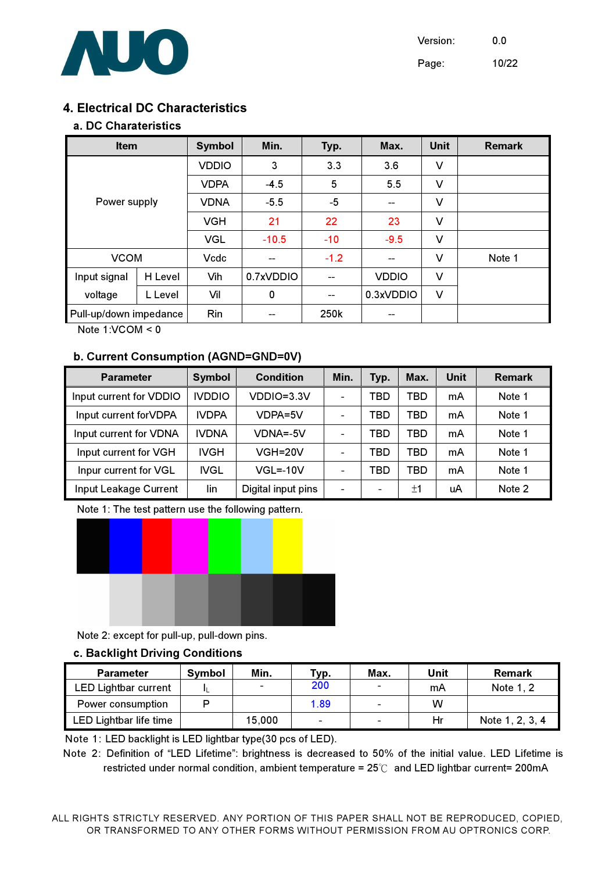

Version: 0.0

Page: 10/22

### 4. Electrical DC Characteristics

#### a. DC Charateristics

| <b>Item</b>            |         | <b>Symbol</b> | Min.      | Typ.   | Max.         | <b>Unit</b> | <b>Remark</b> |
|------------------------|---------|---------------|-----------|--------|--------------|-------------|---------------|
|                        |         | <b>VDDIO</b>  | 3         | 3.3    | 3.6          | V           |               |
|                        |         | <b>VDPA</b>   | $-4.5$    | 5      | 5.5          | V           |               |
| Power supply           |         | <b>VDNA</b>   | $-5.5$    | $-5$   |              | V           |               |
|                        |         | <b>VGH</b>    | 21        | 22     | 23           | v           |               |
|                        |         | <b>VGL</b>    | $-10.5$   | $-10$  | $-9.5$       | V           |               |
| <b>VCOM</b>            |         | Vcdc          | --        | $-1.2$ | --           | v           | Note 1        |
| Input signal           | H Level | Vih           | 0.7xVDDIO | --     | <b>VDDIO</b> | V           |               |
| voltage<br>L Level     |         | Vil           | 0         | --     | 0.3xVDDIO    | $\vee$      |               |
| Pull-up/down impedance |         | Rin           |           | 250k   |              |             |               |

Note 1:VCOM < 0

#### b. Current Consumption (AGND=GND=0V)

| <b>Parameter</b>        | Symbol        | <b>Condition</b>   | Min.                         | Typ. | Max. | Unit | <b>Remark</b> |
|-------------------------|---------------|--------------------|------------------------------|------|------|------|---------------|
| Input current for VDDIO | <b>IVDDIO</b> | VDDIO=3.3V         | $\overline{\phantom{0}}$     | TBD  | TBD  | mA   | Note 1        |
| Input current for VDPA  | <b>IVDPA</b>  | VDPA=5V            | $\overline{\phantom{0}}$     | TBD  | TBD  | mA   | Note 1        |
| Input current for VDNA  | <b>IVDNA</b>  | VDNA=-5V           | $\overline{\phantom{0}}$     | TBD  | TBD  | mA   | Note 1        |
| Input current for VGH   | <b>IVGH</b>   | VGH=20V            | $\overline{\phantom{0}}$     | TBD  | TBD  | mA   | Note 1        |
| Inpur current for VGL   | <b>IVGL</b>   | $VGL = -10V$       | $\overline{\phantom{0}}$     | TBD  | TBD  | mA   | Note 1        |
| Input Leakage Current   | lin           | Digital input pins | $\qquad \qquad \blacksquare$ | -    | ±1   | uA   | Note 2        |

Note 1: The test pattern use the following pattern.



Note 2: except for pull-up, pull-down pins.

#### c. Backlight Driving Conditions

| <b>Parameter</b>       | Symbol | Min.   | Typ.                     | Max.                     | Unit | <b>Remark</b>   |
|------------------------|--------|--------|--------------------------|--------------------------|------|-----------------|
| LED Lightbar current   |        | $\sim$ | 200                      | $\overline{\phantom{a}}$ | mA   | Note 1, 2       |
| Power consumption      |        |        | 1.89                     | $\qquad \qquad$          | w    |                 |
| LED Lightbar life time |        | 15,000 | $\overline{\phantom{a}}$ | $\overline{\phantom{0}}$ | Hr   | Note 1, 2, 3, 4 |

Note 1: LED backlight is LED lightbar type(30 pcs of LED).

Note 2: Definition of "LED Lifetime": brightness is decreased to 50% of the initial value. LED Lifetime is restricted under normal condition, ambient temperature =  $25^{\circ}$  and LED lightbar current= 200mA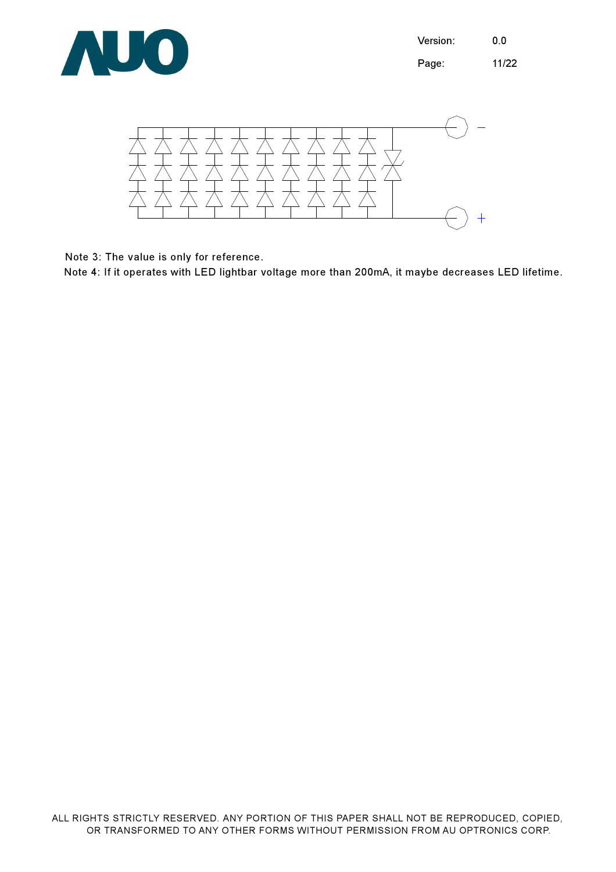

Version: 0.0 Page: 11/22



Note 3: The value is only for reference.

Note 4: If it operates with LED lightbar voltage more than 200mA, it maybe decreases LED lifetime.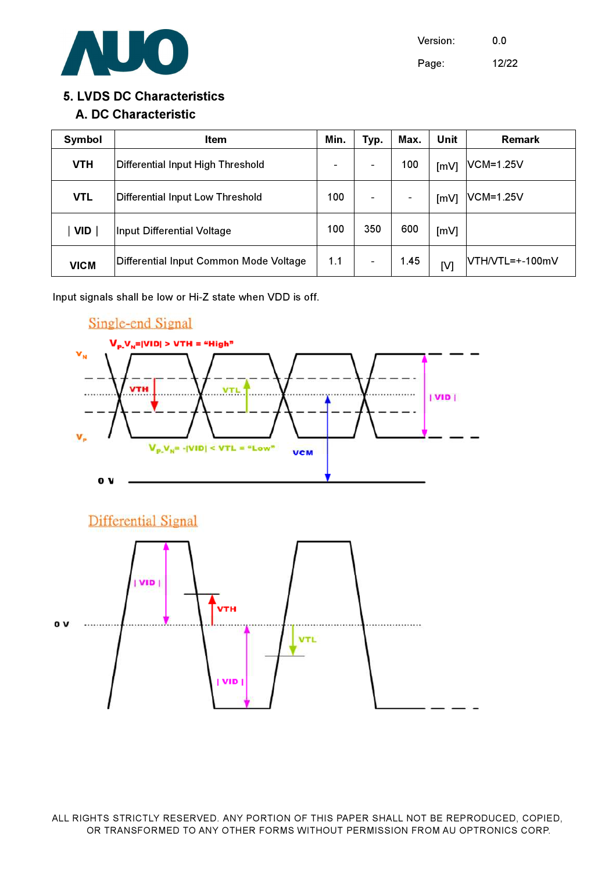

Version: 0.0 Page: 12/22

### 5. LVDS DC Characteristics

## A. DC Characteristic

| Symbol      | <b>Item</b>                            | Min.                     | Typ.                     | Max. | Unit | <b>Remark</b>     |
|-------------|----------------------------------------|--------------------------|--------------------------|------|------|-------------------|
| <b>VTH</b>  | Differential Input High Threshold      | $\overline{\phantom{m}}$ | $\qquad \qquad$          | 100  | [mV] | <b>VCM=1.25V</b>  |
| <b>VTL</b>  | Differential Input Low Threshold       | 100                      |                          |      | [mV] | VCM=1.25V         |
| <b>VID</b>  | Input Differential Voltage             | 100                      | 350                      | 600  | [mV] |                   |
| <b>VICM</b> | Differential Input Common Mode Voltage | 1.1                      | $\overline{\phantom{a}}$ | 1.45 | [V]  | $VTH/TL=+ -100mV$ |

Input signals shall be low or Hi-Z state when VDD is off.

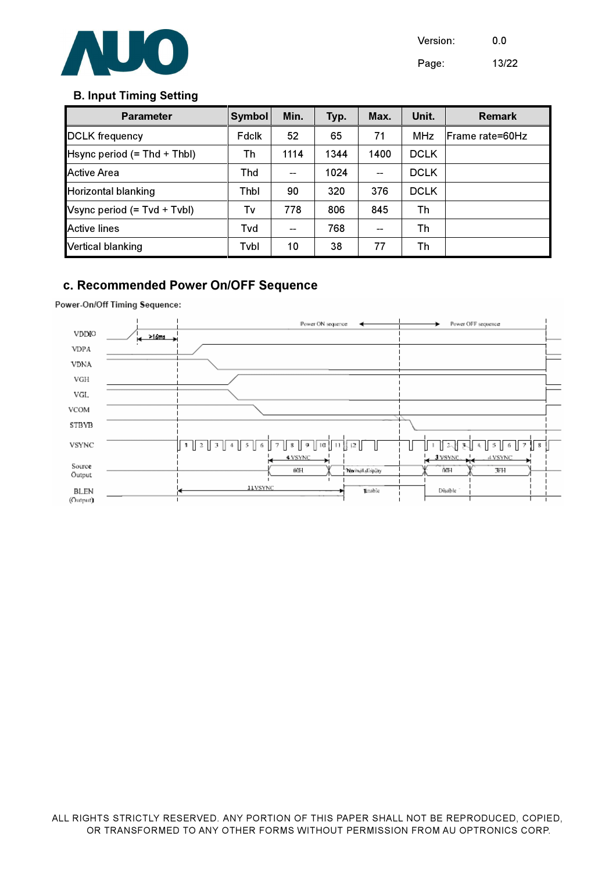

Version: 0.0

Page: 13/22

## B. Input Timing Setting

| <b>Parameter</b>              | Symbol       | Min. | Typ. | Max.  | Unit.       | <b>Remark</b>           |
|-------------------------------|--------------|------|------|-------|-------------|-------------------------|
| <b>DCLK</b> frequency         | <b>Fdclk</b> | 52   | 65   | 71    | <b>MHz</b>  | <b>IFrame rate=60Hz</b> |
| Hsync period $(= Thd + Thbl)$ | Th           | 1114 | 1344 | 1400  | <b>DCLK</b> |                         |
| <b>Active Area</b>            | Thd          |      | 1024 |       | <b>DCLK</b> |                         |
| <b>Horizontal blanking</b>    | Thbl         | 90   | 320  | 376   | <b>DCLK</b> |                         |
| Vsync period (= Tvd + Tvbl)   | Tv           | 778  | 806  | 845   | Th          |                         |
| <b>Active lines</b>           | Tvd          | --   | 768  | $- -$ | Th          |                         |
| <b>Vertical blanking</b>      | Tvbl         | 10   | 38   | 77    | Th          |                         |

## c. Recommended Power On/OFF Sequence

Power-On/Off Timing Sequence:

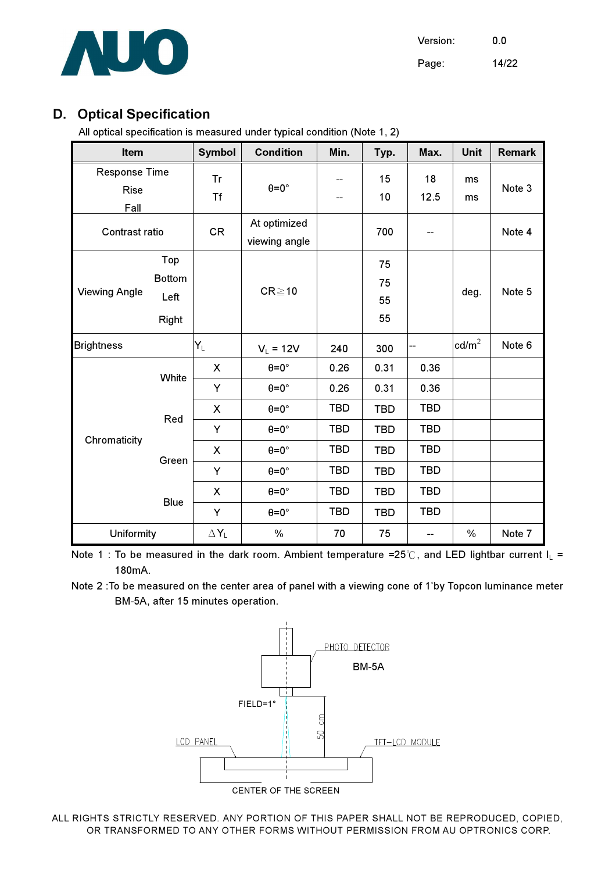

Version: 0.0 Page: 14/22

# D. Optical Specification

All optical specification is measured under typical condition (Note 1, 2)

| Item                                 |                                       | <b>Symbol</b>          | <b>Condition</b>              | Min.       | Typ.                 | Max.       | <b>Unit</b>     | <b>Remark</b> |
|--------------------------------------|---------------------------------------|------------------------|-------------------------------|------------|----------------------|------------|-----------------|---------------|
| Response Time<br><b>Rise</b><br>Fall |                                       | <b>Tr</b><br><b>Tf</b> | $\theta = 0^{\circ}$          | --         | 15<br>10             | 18<br>12.5 | ms<br>ms        | Note 3        |
| Contrast ratio                       |                                       | <b>CR</b>              | At optimized<br>viewing angle |            | 700                  |            |                 | Note 4        |
| <b>Viewing Angle</b>                 | Top<br><b>Bottom</b><br>Left<br>Right |                        | $CR \ge 10$                   |            | 75<br>75<br>55<br>55 |            | deg.            | Note 5        |
| <b>Brightness</b>                    |                                       | $Y_L$                  | $V_L = 12V$                   | 240        | 300                  |            | $\text{cd/m}^2$ | Note 6        |
|                                      | White                                 | X                      | $\theta = 0^{\circ}$          | 0.26       | 0.31                 | 0.36       |                 |               |
|                                      |                                       | Y                      | $\theta = 0^{\circ}$          | 0.26       | 0.31                 | 0.36       |                 |               |
|                                      | Red                                   | X                      | $\theta = 0^{\circ}$          | <b>TBD</b> | <b>TBD</b>           | <b>TBD</b> |                 |               |
| Chromaticity                         |                                       | Y                      | $\theta = 0^\circ$            | <b>TBD</b> | <b>TBD</b>           | <b>TBD</b> |                 |               |
|                                      | Green                                 | $\pmb{\times}$         | $\theta = 0^\circ$            | <b>TBD</b> | <b>TBD</b>           | <b>TBD</b> |                 |               |
|                                      |                                       | Υ                      | $\theta = 0^{\circ}$          | <b>TBD</b> | <b>TBD</b>           | <b>TBD</b> |                 |               |
|                                      | <b>Blue</b>                           | X                      | $\theta = 0^\circ$            | <b>TBD</b> | <b>TBD</b>           | <b>TBD</b> |                 |               |
|                                      |                                       | Y                      | $\theta = 0^\circ$            | <b>TBD</b> | <b>TBD</b>           | <b>TBD</b> |                 |               |
| Uniformity                           |                                       | $\Delta Y_L$           | $\%$                          | 70         | 75                   |            | $\frac{0}{0}$   | Note 7        |

Note 1 : To be measured in the dark room. Ambient temperature =25°C, and LED lightbar current  $I_L$  = 180mA.

Note 2 : To be measured on the center area of panel with a viewing cone of 1<sup>°</sup>by Topcon luminance meter BM-5A, after 15 minutes operation.

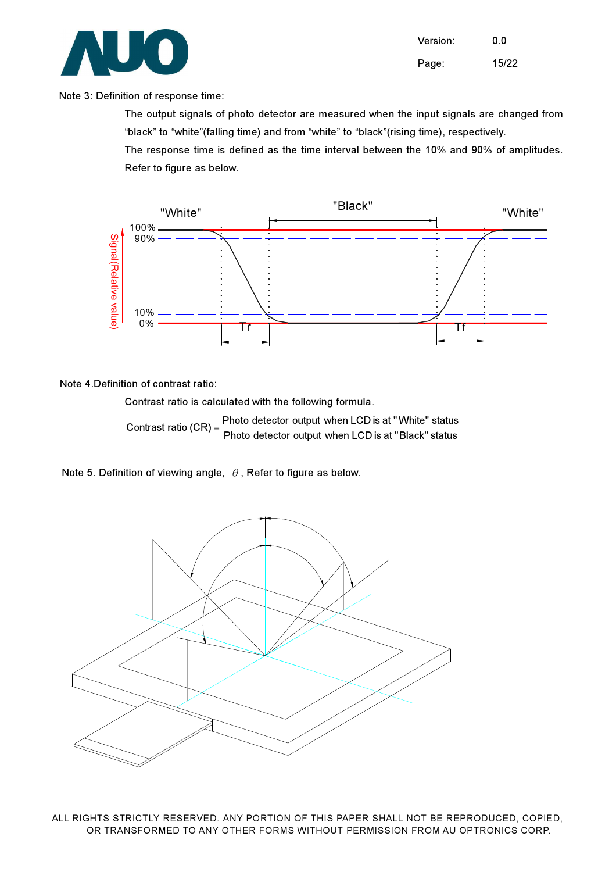

Note 3: Definition of response time:

 The output signals of photo detector are measured when the input signals are changed from "black" to "white"(falling time) and from "white" to "black"(rising time), respectively.

 The response time is defined as the time interval between the 10% and 90% of amplitudes. Refer to figure as below.



Note 4.Definition of contrast ratio:

Contrast ratio is calculated with the following formula.

 $\textsf{Contrast}$  ratio (CR) =  $\frac{\textsf{Photo detector output when LCD is at "White" status}}{\textsf{Photo detector output when LCD is at "Black" status}}$ 

Note 5. Definition of viewing angle,  $\theta$ , Refer to figure as below.

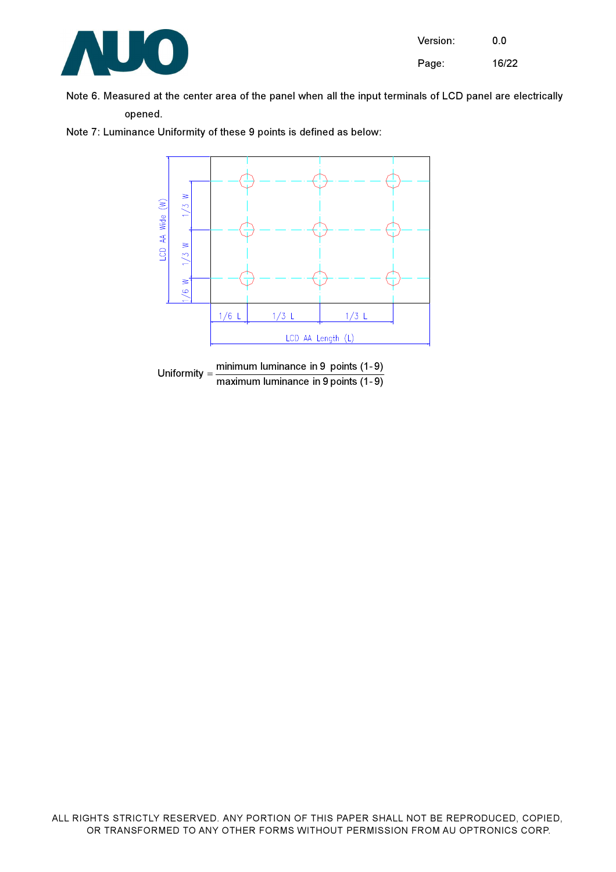

Note 6. Measured at the center area of the panel when all the input terminals of LCD panel are electrically opened.



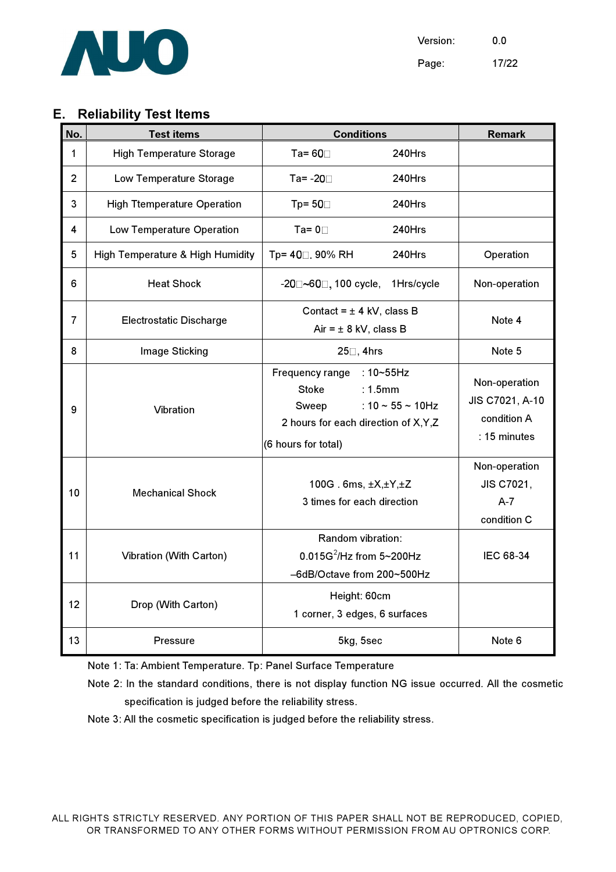

Version: 0.0 Page: 17/22

## E. Reliability Test Items

| No.            | <b>Test items</b>                  | <b>Conditions</b>                                                                                                                       | <b>Remark</b>             |                                                                 |
|----------------|------------------------------------|-----------------------------------------------------------------------------------------------------------------------------------------|---------------------------|-----------------------------------------------------------------|
| $\mathbf{1}$   | <b>High Temperature Storage</b>    | Ta= $60\Box$                                                                                                                            | 240Hrs                    |                                                                 |
| $\overline{2}$ | Low Temperature Storage            | Ta= -20□                                                                                                                                | 240Hrs                    |                                                                 |
| 3              | <b>High Ttemperature Operation</b> | Tp= $50$                                                                                                                                | $240$ Hrs                 |                                                                 |
| 4              | Low Temperature Operation          | Ta= $0$                                                                                                                                 | 240Hrs                    |                                                                 |
| 5              | High Temperature & High Humidity   | Tp= 40□. 90% RH                                                                                                                         | 240Hrs                    | Operation                                                       |
| 6              | <b>Heat Shock</b>                  | $-20$ $-60$ $\Box$ , 100 cycle,                                                                                                         | 1Hrs/cycle                | Non-operation                                                   |
| 7              | <b>Electrostatic Discharge</b>     | Contact = $\pm$ 4 kV, class B<br>Air = $\pm$ 8 kV, class B                                                                              |                           | Note 4                                                          |
| 8              | Image Sticking                     | 25 <sub>[1,</sub> 4hrs]                                                                                                                 |                           | Note 5                                                          |
| 9              | Vibration                          | Frequency range<br>$:10 \sim 55$ Hz<br><b>Stoke</b><br>: 1.5mm<br>Sweep<br>2 hours for each direction of X, Y, Z<br>(6 hours for total) | : $10 \sim 55 \sim 10$ Hz | Non-operation<br>JIS C7021, A-10<br>condition A<br>: 15 minutes |
| 10             | <b>Mechanical Shock</b>            | 100G. 6ms, $\pm X, \pm Y, \pm Z$<br>3 times for each direction                                                                          |                           | Non-operation<br><b>JIS C7021,</b><br>$A - 7$<br>condition C    |
| 11             | <b>Vibration (With Carton)</b>     | Random vibration:<br>$0.015G^2$ /Hz from 5~200Hz<br>-6dB/Octave from 200~500Hz                                                          |                           | IEC 68-34                                                       |
| 12             | Drop (With Carton)                 | Height: 60cm<br>1 corner, 3 edges, 6 surfaces                                                                                           |                           |                                                                 |
| 13             | <b>Pressure</b>                    | 5kg, 5sec                                                                                                                               |                           | Note 6                                                          |

Note 1: Ta: Ambient Temperature. Tp: Panel Surface Temperature

Note 2: In the standard conditions, there is not display function NG issue occurred. All the cosmetic specification is judged before the reliability stress.

Note 3: All the cosmetic specification is judged before the reliability stress.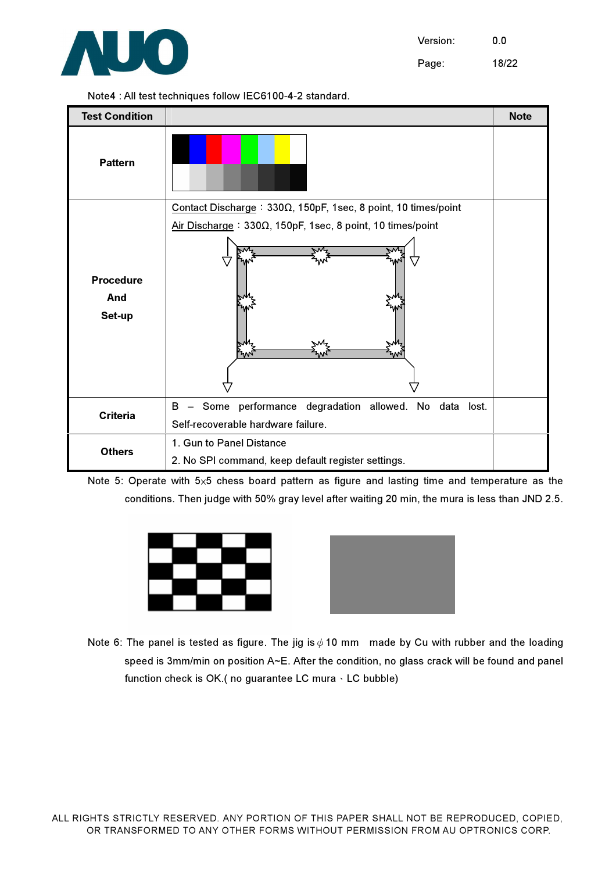

Note4 : All test techniques follow IEC6100-4-2 standard.

| <b>Test Condition</b>             |                                                               | <b>Note</b> |  |  |
|-----------------------------------|---------------------------------------------------------------|-------------|--|--|
| <b>Pattern</b>                    |                                                               |             |  |  |
|                                   | Contact Discharge: 330Ω, 150pF, 1sec, 8 point, 10 times/point |             |  |  |
|                                   | Air Discharge: 330Ω, 150pF, 1sec, 8 point, 10 times/point     |             |  |  |
| <b>Procedure</b><br>And<br>Set-up | $\overline{\mathcal{M}}$<br>W                                 |             |  |  |
|                                   | Some performance degradation allowed. No data lost.<br>в<br>- |             |  |  |
| <b>Criteria</b>                   | Self-recoverable hardware failure.                            |             |  |  |
|                                   | 1. Gun to Panel Distance                                      |             |  |  |
| <b>Others</b>                     | 2. No SPI command, keep default register settings.            |             |  |  |

Note 5: Operate with  $5\times5$  chess board pattern as figure and lasting time and temperature as the conditions. Then judge with 50% gray level after waiting 20 min, the mura is less than JND 2.5.



Note 6: The panel is tested as figure. The jig is  $\phi$  10 mm made by Cu with rubber and the loading speed is 3mm/min on position A~E. After the condition, no glass crack will be found and panel function check is OK.( no guarantee LC mura  $\cdot$  LC bubble)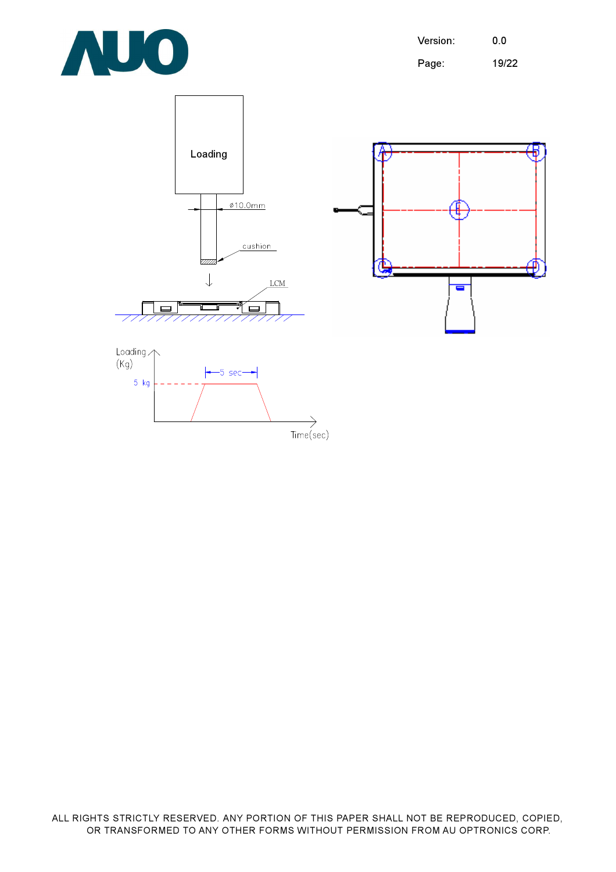

Version: 0.0 Page: 19/22

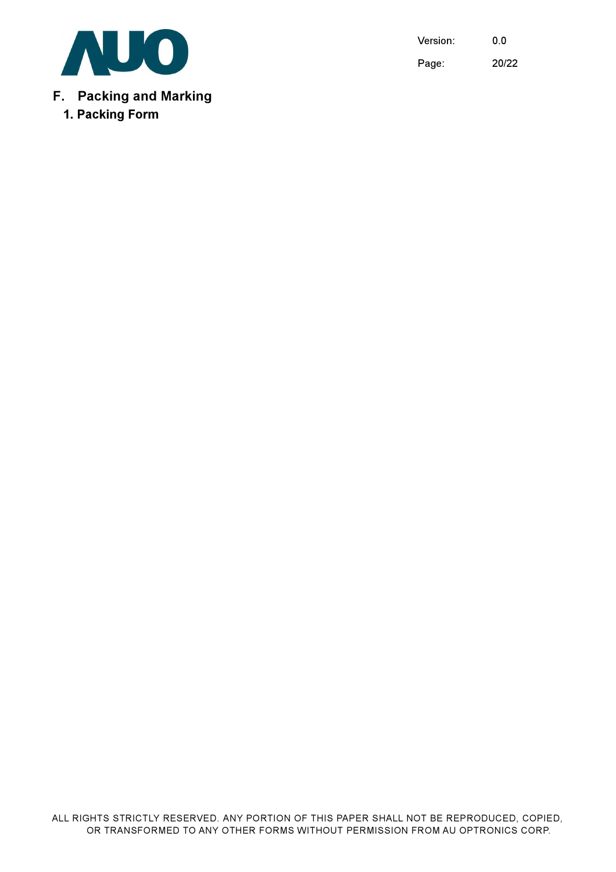

Version: 0.0 Page: 20/22

# F. Packing and Marking

## 1. Packing Form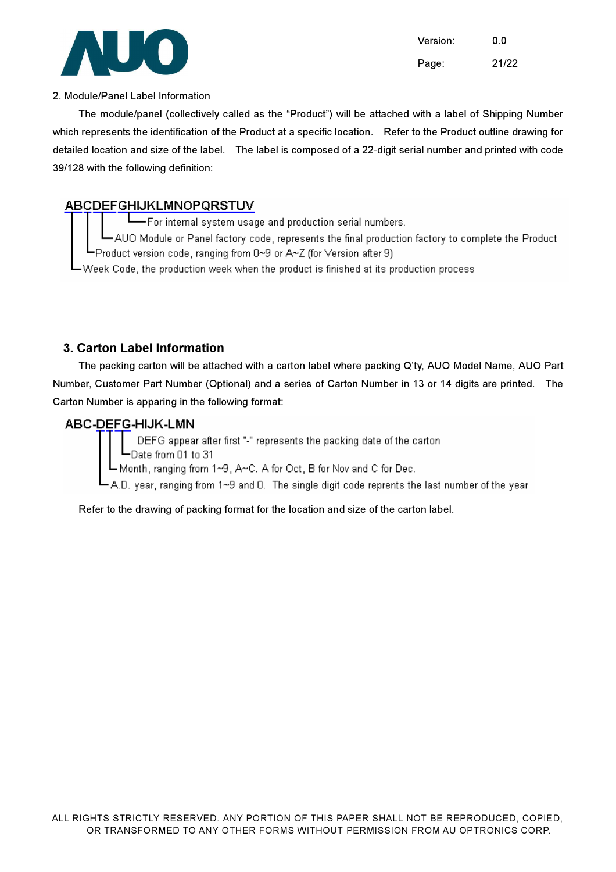

#### 2. Module/Panel Label Information

The module/panel (collectively called as the "Product") will be attached with a label of Shipping Number which represents the identification of the Product at a specific location. Refer to the Product outline drawing for detailed location and size of the label. The label is composed of a 22-digit serial number and printed with code 39/128 with the following definition:

## **ABCDEFGHIJKLMNOPQRSTUV**

--<br>For internal system usage and production serial numbers. -AUO Module or Panel factory code, represents the final production factory to complete the Product ┗-Product version code, ranging from 0~9 or A~Z (for Version after 9) -Week Code, the production week when the product is finished at its production process.

#### 3. Carton Label Information

The packing carton will be attached with a carton label where packing Q'ty, AUO Model Name, AUO Part Number, Customer Part Number (Optional) and a series of Carton Number in 13 or 14 digits are printed. The Carton Number is apparing in the following format:

#### ABC-DEFG-HIJK-LMN

DEFG appear after first "-" represents the packing date of the carton Date from 01 to 31

L Month, ranging from 1∼9, A∼C. A for Oct, B for Nov and C for Dec.

A.D. year, ranging from 1~9 and 0. The single digit code reprents the last number of the year

Refer to the drawing of packing format for the location and size of the carton label.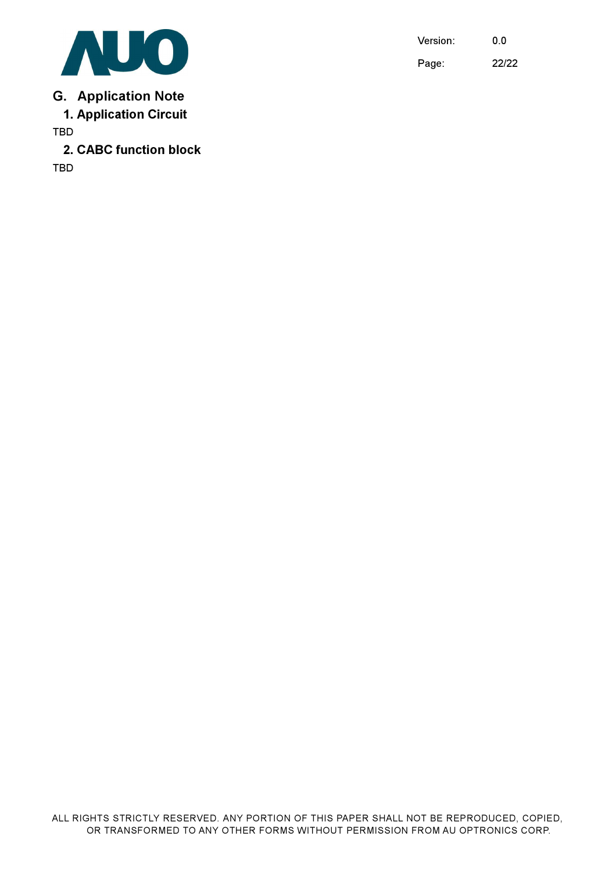

Version: 0.0 Page: 22/22

# G. Application Note

1. Application Circuit

TBD

2. CABC function block

TBD